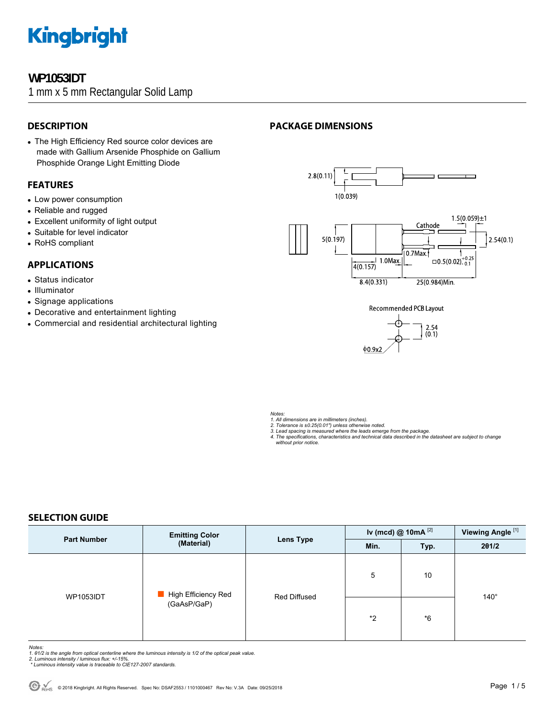### **WP1053IDT**

1 mm x 5 mm Rectangular Solid Lamp

#### **DESCRIPTION**

• The High Efficiency Red source color devices are made with Gallium Arsenide Phosphide on Gallium Phosphide Orange Light Emitting Diode

#### **FEATURES**

- Low power consumption
- Reliable and rugged
- Excellent uniformity of light output
- Suitable for level indicator
- RoHS compliant

#### **APPLICATIONS**

- Status indicator
- Illuminator
- Signage applications
- Decorative and entertainment lighting
- Commercial and residential architectural lighting

### **PACKAGE DIMENSIONS**



 $\vert$  1.0Max.

 $4(0.157)$ 





*Notes:* 

- *1. All dimensions are in millimeters (inches).*
- 
- 2. Tolerance is ±0.25(0.01") unless otherwise noted.<br>3. Lead spacing is measured where the leads emerge from the package.<br>4. The specifications, characteristics and technical data described in the datasheet are subject to

#### **SELECTION GUIDE**

| <b>Part Number</b> | <b>Emitting Color</b><br>(Material) | <b>Lens Type</b> | Iv (mcd) @ 10mA $^{[2]}$ |      | Viewing Angle <sup>[1]</sup> |
|--------------------|-------------------------------------|------------------|--------------------------|------|------------------------------|
|                    |                                     |                  | Min.                     | Typ. | 201/2                        |
| <b>WP1053IDT</b>   | High Efficiency Red<br>(GaAsP/GaP)  | Red Diffused     | 5                        | 10   |                              |
|                    |                                     |                  | *2                       | *6   | $140^\circ$                  |

*Notes:* 

- 1. 01/2 is the angle from optical centerline where the luminous intensity is 1/2 of the optical peak value.<br>2. Luminous intensity / luminous flux: +/-15%.<br>\* Luminous intensity value is traceable to CIE127-2007 standards.
- 
-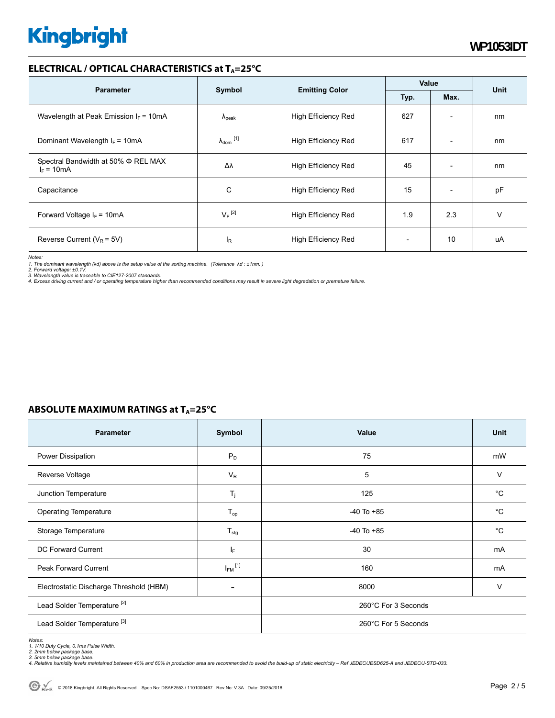#### **ELECTRICAL / OPTICAL CHARACTERISTICS at T<sub>A</sub>=25°C**

|                                                     |                            |                            | Value        |                          | Unit |
|-----------------------------------------------------|----------------------------|----------------------------|--------------|--------------------------|------|
| <b>Parameter</b>                                    | Symbol                     | <b>Emitting Color</b>      | Typ.<br>Max. |                          |      |
| Wavelength at Peak Emission $I_F = 10mA$            | $\Lambda_{\rm peak}$       | <b>High Efficiency Red</b> | 627          | $\overline{\phantom{a}}$ | nm   |
| Dominant Wavelength $I_F = 10mA$                    | $\lambda_{\text{dom}}$ [1] | <b>High Efficiency Red</b> | 617          | $\overline{\phantom{a}}$ | nm   |
| Spectral Bandwidth at 50% Φ REL MAX<br>$I_F = 10mA$ | Δλ                         | High Efficiency Red        | 45           | $\overline{\phantom{a}}$ | nm   |
| Capacitance                                         | С                          | <b>High Efficiency Red</b> | 15           | $\overline{\phantom{a}}$ | pF   |
| Forward Voltage $I_F = 10 \text{mA}$                | $V_F$ <sup>[2]</sup>       | High Efficiency Red        | 1.9          | 2.3                      | v    |
| Reverse Current ( $V_R$ = 5V)                       | l <sub>R</sub>             | <b>High Efficiency Red</b> |              | 10                       | uA   |

*Notes:* 

*1. The dominant wavelength (*λ*d) above is the setup value of the sorting machine. (Tolerance* λ*d : ±1nm. )* 

2. Forward voltage: ±0.1V.<br>3. Wavelength value is traceable to CIE127-2007 standards.<br>4. Excess driving current and / or operating temperature higher than recommended conditions may result in severe light degradation or pr

### **ABSOLUTE MAXIMUM RATINGS at TA=25°C**

| Parameter                               | Symbol                   | Value               | <b>Unit</b> |  |
|-----------------------------------------|--------------------------|---------------------|-------------|--|
| Power Dissipation                       | $P_D$                    | 75                  | mW          |  |
| Reverse Voltage                         | $V_R$                    | 5                   | $\vee$      |  |
| Junction Temperature                    | $T_j$                    | 125                 | $^{\circ}C$ |  |
| <b>Operating Temperature</b>            | $T_{op}$                 | $-40$ To $+85$      | $^{\circ}C$ |  |
| Storage Temperature                     | $T_{\text{stg}}$         | $-40$ To $+85$      | $^{\circ}C$ |  |
| <b>DC Forward Current</b>               | IF.                      | 30                  | mA          |  |
| <b>Peak Forward Current</b>             | $I_{FM}$ <sup>[1]</sup>  | 160                 | mA          |  |
| Electrostatic Discharge Threshold (HBM) | $\overline{\phantom{a}}$ | 8000                | $\vee$      |  |
| Lead Solder Temperature <sup>[2]</sup>  |                          | 260°C For 3 Seconds |             |  |
| Lead Solder Temperature <sup>[3]</sup>  |                          | 260°C For 5 Seconds |             |  |

#### *Notes:*

1. 1/10 Duty Cycle, 0.1ms Pulse Width.<br>2. 2mm below package base.<br>3. 5mm below package base.<br>4. Relative humidity levels maintained between 40% and 60% in production area are recommended to avoid the build-up of static ele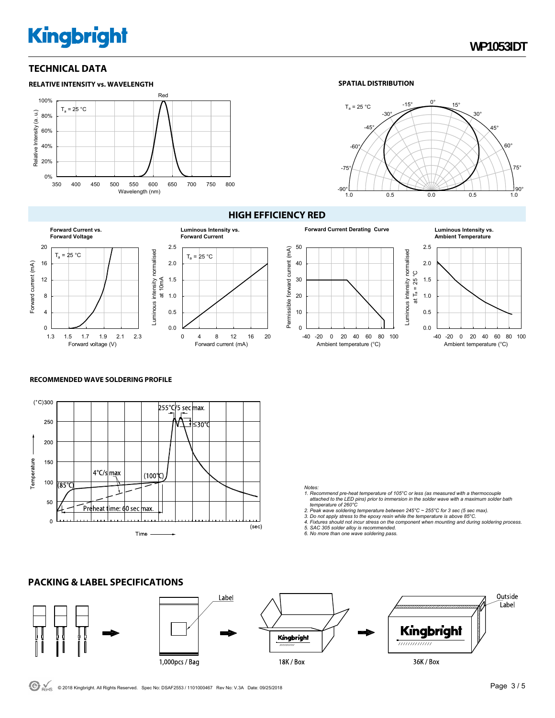#### **TECHNICAL DATA**



#### **SPATIAL DISTRIBUTION**





#### **HIGH EFFICIENCY RED**



#### **Forward Current Derating Curve Luminous Intensity vs.**  50 2.5 forward current (mA) Permissible forward current (mA) Luminous intensity normalised<br>at  $T_a = 25^{\circ}$ C Luminous intensity normalised 40 2.0 at Ta = 25 °C 30 1.5 20 1.0 Permissible 10 0.5  $\theta$ 0.0 -40 -20 0 20 40 60 80 100 Ambient temperature (°C) Ambient temperature (°C)



#### **RECOMMENDED WAVE SOLDERING PROFILE**

**PACKING & LABEL SPECIFICATIONS** 



*Notes:* 

- *1. Recommend pre-heat temperature of 105°C or less (as measured with a thermocouple attached to the LED pins) prior to immersion in the solder wave with a maximum solder bath temperature of 260°C*
- 
- 2. Peak wave soldering temperature between 245°C ~ 255°C for 3 sec (5 sec max).<br>3. Do not apply stress to the epoxy resin while the temperature is above 85°C.<br>4. Fixtures should not incur stress on the component when mount
- 
- *5. SAC 305 solder alloy is recommended. 6. No more than one wave soldering pass.*

#### Outside Label Label Kingbright Kingbright ,,,,,,,,,,,,, 1,000pcs / Bag 18K / Box 36K / Box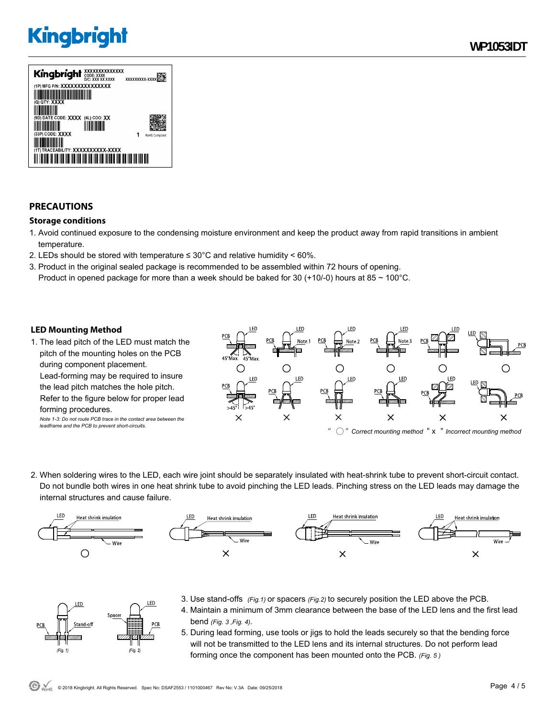

### **PRECAUTIONS**

#### **Storage conditions**

- 1. Avoid continued exposure to the condensing moisture environment and keep the product away from rapid transitions in ambient temperature.
- 2. LEDs should be stored with temperature  $\leq 30^{\circ}$ C and relative humidity < 60%.
- 3. Product in the original sealed package is recommended to be assembled within 72 hours of opening. Product in opened package for more than a week should be baked for 30 (+10/-0) hours at 85  $\sim$  100°C.

#### **LED Mounting Method**

FD.

 $(Fig. 1)$ 

Space

 $(Fig. 2)$ 

1. The lead pitch of the LED must match the pitch of the mounting holes on the PCB during component placement. Lead-forming may be required to insure the lead pitch matches the hole pitch. Refer to the figure below for proper lead forming procedures. *Note 1-3: Do not route PCB trace in the contact area between the* 

*leadframe and the PCB to prevent short-circuits.* 



2. When soldering wires to the LED, each wire joint should be separately insulated with heat-shrink tube to prevent short-circuit contact. Do not bundle both wires in one heat shrink tube to avoid pinching the LED leads. Pinching stress on the LED leads may damage the internal structures and cause failure.



- 3. Use stand-offs *(Fig.1)* or spacers *(Fig.2)* to securely position the LED above the PCB. .ED
	- 4. Maintain a minimum of 3mm clearance between the base of the LED lens and the first lead bend *(Fig. 3 ,Fig. 4).*
	- 5. During lead forming, use tools or jigs to hold the leads securely so that the bending force will not be transmitted to the LED lens and its internal structures. Do not perform lead forming once the component has been mounted onto the PCB. *(Fig. 5 )*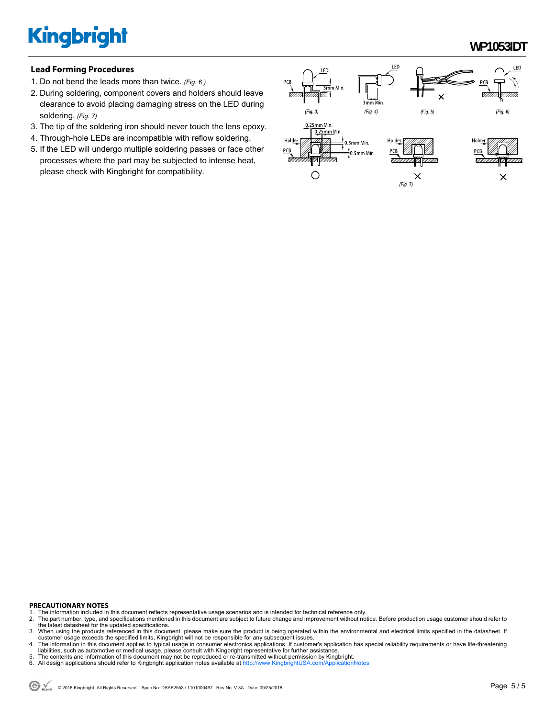**WP1053IDT** 

#### **Lead Forming Procedures**

- 1. Do not bend the leads more than twice. *(Fig. 6 )*
- 2. During soldering, component covers and holders should leave clearance to avoid placing damaging stress on the LED during soldering. *(Fig. 7)*
- 3. The tip of the soldering iron should never touch the lens epoxy.
- 4. Through-hole LEDs are incompatible with reflow soldering.
- 5. If the LED will undergo multiple soldering passes or face other processes where the part may be subjected to intense heat, please check with Kingbright for compatibility.



#### **PRECAUTIONARY NOTES**

- 1. The information included in this document reflects representative usage scenarios and is intended for technical reference only.<br>2. The part number, type, and specifications mentioned in this document are subject to futu
- 2. The part number, type, and specifications mentioned in this document are subject to future change and improvement without notice. Before production usage customer should refer to<br>the latest datasheet for the updated spe
- 3. When using the products referenced in this document, please make sure the product is being operated within the environmental and electrical limits specified in the datasheet. If customer usage exceeds the specified limits, Kingbright will not be responsible for any subsequent issues.<br>4. The information in this document applies to typical usage in consumer electronics applications. If customer's ap
- liabilities, such as automotive or medical usage, please consult with Kingbright representative for further assistance.
- 5. The contents and information of this document may not be reproduced or re-transmitted without permission by Kingbright.<br>6. All design applications should refer to Kingbright application notes available at <u>http://www</u>
-